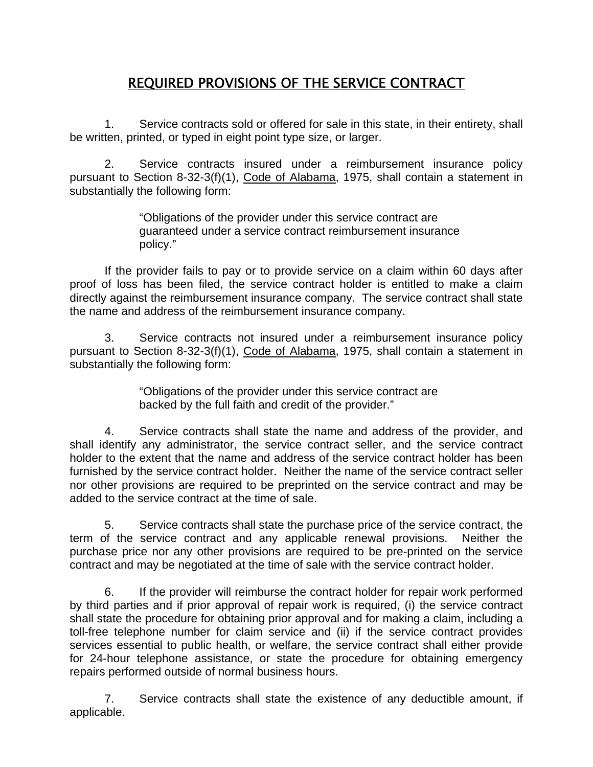# REQUIRED PROVISIONS OF THE SERVICE CONTRACT

1. Service contracts sold or offered for sale in this state, in their entirety, shall be written, printed, or typed in eight point type size, or larger.

2. Service contracts insured under a reimbursement insurance policy pursuant to Section 8-32-3(f)(1), Code of Alabama, 1975, shall contain a statement in substantially the following form:

> "Obligations of the provider under this service contract are guaranteed under a service contract reimbursement insurance policy."

 If the provider fails to pay or to provide service on a claim within 60 days after proof of loss has been filed, the service contract holder is entitled to make a claim directly against the reimbursement insurance company. The service contract shall state the name and address of the reimbursement insurance company.

3. Service contracts not insured under a reimbursement insurance policy pursuant to Section 8-32-3(f)(1), Code of Alabama, 1975, shall contain a statement in substantially the following form:

> "Obligations of the provider under this service contract are backed by the full faith and credit of the provider."

4. Service contracts shall state the name and address of the provider, and shall identify any administrator, the service contract seller, and the service contract holder to the extent that the name and address of the service contract holder has been furnished by the service contract holder. Neither the name of the service contract seller nor other provisions are required to be preprinted on the service contract and may be added to the service contract at the time of sale.

5. Service contracts shall state the purchase price of the service contract, the term of the service contract and any applicable renewal provisions. Neither the purchase price nor any other provisions are required to be pre-printed on the service contract and may be negotiated at the time of sale with the service contract holder.

6. If the provider will reimburse the contract holder for repair work performed by third parties and if prior approval of repair work is required, (i) the service contract shall state the procedure for obtaining prior approval and for making a claim, including a toll-free telephone number for claim service and (ii) if the service contract provides services essential to public health, or welfare, the service contract shall either provide for 24-hour telephone assistance, or state the procedure for obtaining emergency repairs performed outside of normal business hours.

7. Service contracts shall state the existence of any deductible amount, if applicable.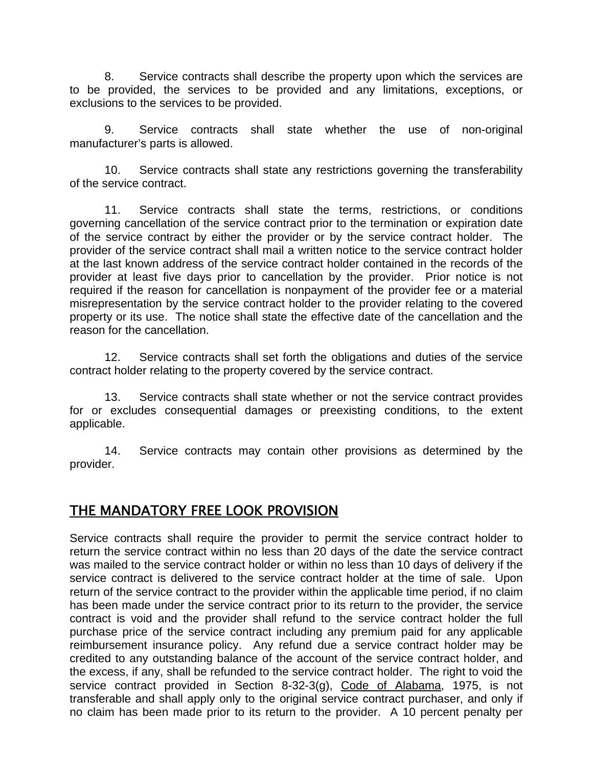8. Service contracts shall describe the property upon which the services are to be provided, the services to be provided and any limitations, exceptions, or exclusions to the services to be provided.

9. Service contracts shall state whether the use of non-original manufacturer's parts is allowed.

10. Service contracts shall state any restrictions governing the transferability of the service contract.

11. Service contracts shall state the terms, restrictions, or conditions governing cancellation of the service contract prior to the termination or expiration date of the service contract by either the provider or by the service contract holder. The provider of the service contract shall mail a written notice to the service contract holder at the last known address of the service contract holder contained in the records of the provider at least five days prior to cancellation by the provider. Prior notice is not required if the reason for cancellation is nonpayment of the provider fee or a material misrepresentation by the service contract holder to the provider relating to the covered property or its use. The notice shall state the effective date of the cancellation and the reason for the cancellation.

12. Service contracts shall set forth the obligations and duties of the service contract holder relating to the property covered by the service contract.

13. Service contracts shall state whether or not the service contract provides for or excludes consequential damages or preexisting conditions, to the extent applicable.

14. Service contracts may contain other provisions as determined by the provider.

### THE MANDATORY FREE LOOK PROVISION

Service contracts shall require the provider to permit the service contract holder to return the service contract within no less than 20 days of the date the service contract was mailed to the service contract holder or within no less than 10 days of delivery if the service contract is delivered to the service contract holder at the time of sale. Upon return of the service contract to the provider within the applicable time period, if no claim has been made under the service contract prior to its return to the provider, the service contract is void and the provider shall refund to the service contract holder the full purchase price of the service contract including any premium paid for any applicable reimbursement insurance policy. Any refund due a service contract holder may be credited to any outstanding balance of the account of the service contract holder, and the excess, if any, shall be refunded to the service contract holder. The right to void the service contract provided in Section 8-32-3(g), Code of Alabama, 1975, is not transferable and shall apply only to the original service contract purchaser, and only if no claim has been made prior to its return to the provider. A 10 percent penalty per